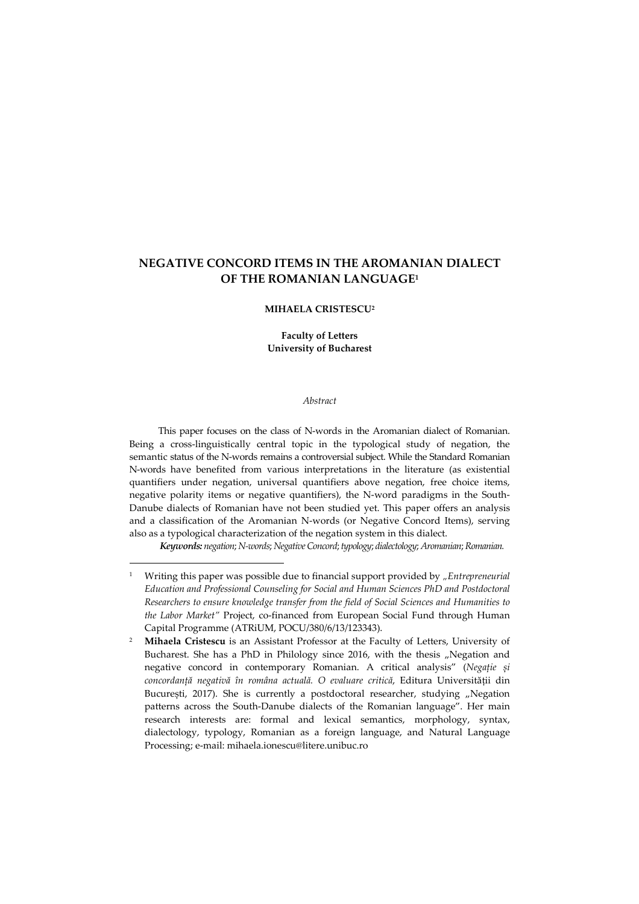# **NEGATIVE CONCORD ITEMS IN THE AROMANIAN DIALECT OF THE ROMANIAN LANGUAGE<sup>1</sup>**

#### **MIHAELA CRISTESCU<sup>2</sup>**

**Faculty of Letters University of Bucharest** 

#### *Abstract*

This paper focuses on the class of N-words in the Aromanian dialect of Romanian. Being a cross-linguistically central topic in the typological study of negation, the semantic status of the N-words remains a controversial subject. While the Standard Romanian N-words have benefited from various interpretations in the literature (as existential quantifiers under negation, universal quantifiers above negation, free choice items, negative polarity items or negative quantifiers), the N-word paradigms in the South-Danube dialects of Romanian have not been studied yet. This paper offers an analysis and a classification of the Aromanian N-words (or Negative Concord Items), serving also as a typological characterization of the negation system in this dialect.

*Keywords: negation*; *N-words*; *Negative Concord*; *typology*; *dialectology*; *Aromanian*; *Romanian.* 

<sup>1</sup> Writing this paper was possible due to financial support provided by *"Entrepreneurial Education and Professional Counseling for Social and Human Sciences PhD and Postdoctoral Researchers to ensure knowledge transfer from the field of Social Sciences and Humanities to the Labor Market"* Project, co-financed from European Social Fund through Human Capital Programme (ATRiUM, POCU/380/6/13/123343).

<sup>2</sup> **Mihaela Cristescu** is an Assistant Professor at the Faculty of Letters, University of Bucharest. She has a PhD in Philology since 2016, with the thesis "Negation and negative concord in contemporary Romanian. A critical analysis" (*Negație și concordanță negativă în româna actuală. O evaluare critică*, Editura Universității din București, 2017). She is currently a postdoctoral researcher, studying "Negation patterns across the South-Danube dialects of the Romanian language". Her main research interests are: formal and lexical semantics, morphology, syntax, dialectology, typology, Romanian as a foreign language, and Natural Language Processing; e-mail: mihaela.ionescu@litere.unibuc.ro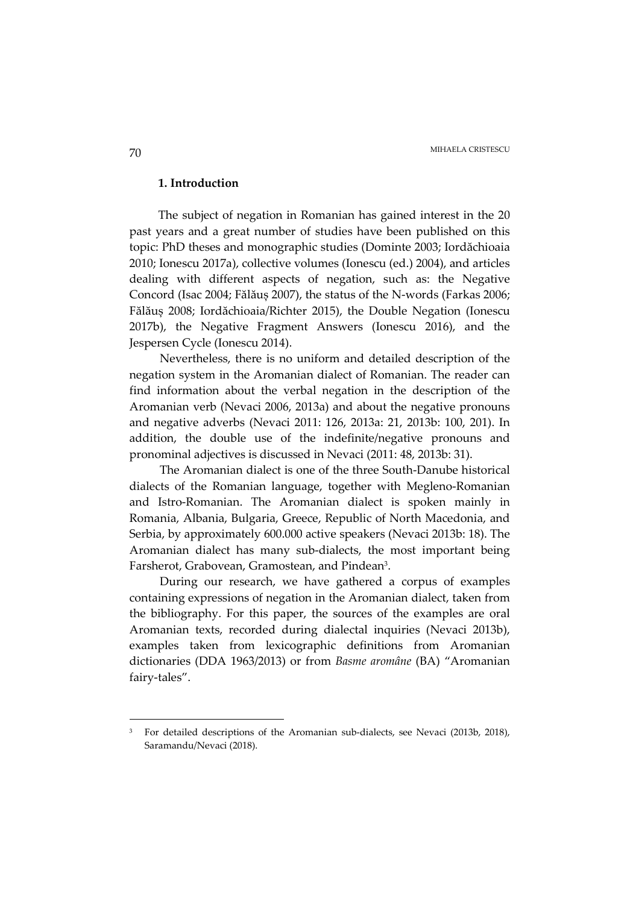### **1. Introduction**

The subject of negation in Romanian has gained interest in the 20 past years and a great number of studies have been published on this topic: PhD theses and monographic studies (Dominte 2003; Iordăchioaia 2010; Ionescu 2017a), collective volumes (Ionescu (ed.) 2004), and articles dealing with different aspects of negation, such as: the Negative Concord (Isac 2004; Fălăuș 2007), the status of the N-words (Farkas 2006; Fălăuș 2008; Iordăchioaia/Richter 2015), the Double Negation (Ionescu 2017b), the Negative Fragment Answers (Ionescu 2016), and the Jespersen Cycle (Ionescu 2014).

Nevertheless, there is no uniform and detailed description of the negation system in the Aromanian dialect of Romanian. The reader can find information about the verbal negation in the description of the Aromanian verb (Nevaci 2006, 2013a) and about the negative pronouns and negative adverbs (Nevaci 2011: 126, 2013a: 21, 2013b: 100, 201). In addition, the double use of the indefinite/negative pronouns and pronominal adjectives is discussed in Nevaci (2011: 48, 2013b: 31).

The Aromanian dialect is one of the three South-Danube historical dialects of the Romanian language, together with Megleno-Romanian and Istro-Romanian. The Aromanian dialect is spoken mainly in Romania, Albania, Bulgaria, Greece, Republic of North Macedonia, and Serbia, by approximately 600.000 active speakers (Nevaci 2013b: 18). The Aromanian dialect has many sub-dialects, the most important being Farsherot, Grabovean, Gramostean, and Pindean<sup>3</sup> .

During our research, we have gathered a corpus of examples containing expressions of negation in the Aromanian dialect, taken from the bibliography. For this paper, the sources of the examples are oral Aromanian texts, recorded during dialectal inquiries (Nevaci 2013b), examples taken from lexicographic definitions from Aromanian dictionaries (DDA 1963/2013) or from *Basme aromâne* (BA) "Aromanian fairy-tales".

<sup>3</sup> For detailed descriptions of the Aromanian sub-dialects, see Nevaci (2013b, 2018), Saramandu/Nevaci (2018).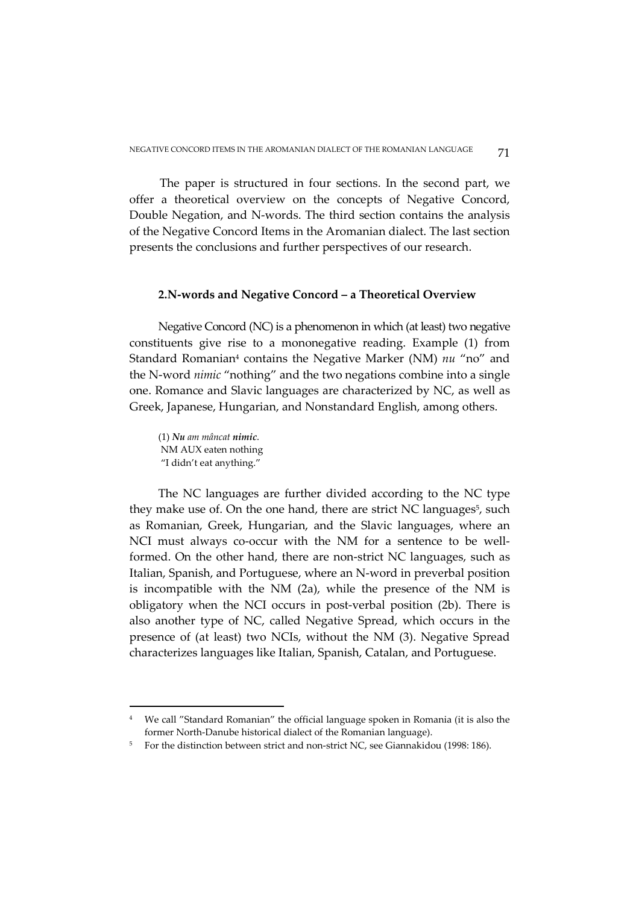The paper is structured in four sections. In the second part, we offer a theoretical overview on the concepts of Negative Concord, Double Negation, and N-words. The third section contains the analysis of the Negative Concord Items in the Aromanian dialect. The last section presents the conclusions and further perspectives of our research.

# **2.N-words and Negative Concord – a Theoretical Overview**

Negative Concord (NC) is a phenomenon in which (at least) two negative constituents give rise to a mononegative reading. Example (1) from Standard Romanian<sup>4</sup> contains the Negative Marker (NM) nu "no" and the N-word *nimic* "nothing" and the two negations combine into a single one. Romance and Slavic languages are characterized by NC, as well as Greek, Japanese, Hungarian, and Nonstandard English, among others.

(1) *Nu am mâncat nimic*. NM AUX eaten nothing "I didn't eat anything."

 $\overline{a}$ 

The NC languages are further divided according to the NC type they make use of. On the one hand, there are strict NC languages<sup>5</sup>, such as Romanian, Greek, Hungarian, and the Slavic languages, where an NCI must always co-occur with the NM for a sentence to be wellformed. On the other hand, there are non-strict NC languages, such as Italian, Spanish, and Portuguese, where an N-word in preverbal position is incompatible with the NM (2a), while the presence of the NM is obligatory when the NCI occurs in post-verbal position (2b). There is also another type of NC, called Negative Spread, which occurs in the presence of (at least) two NCIs, without the NM (3). Negative Spread characterizes languages like Italian, Spanish, Catalan, and Portuguese.

<sup>4</sup> We call "Standard Romanian" the official language spoken in Romania (it is also the former North-Danube historical dialect of the Romanian language).

<sup>&</sup>lt;sup>5</sup> For the distinction between strict and non-strict NC, see Giannakidou (1998: 186).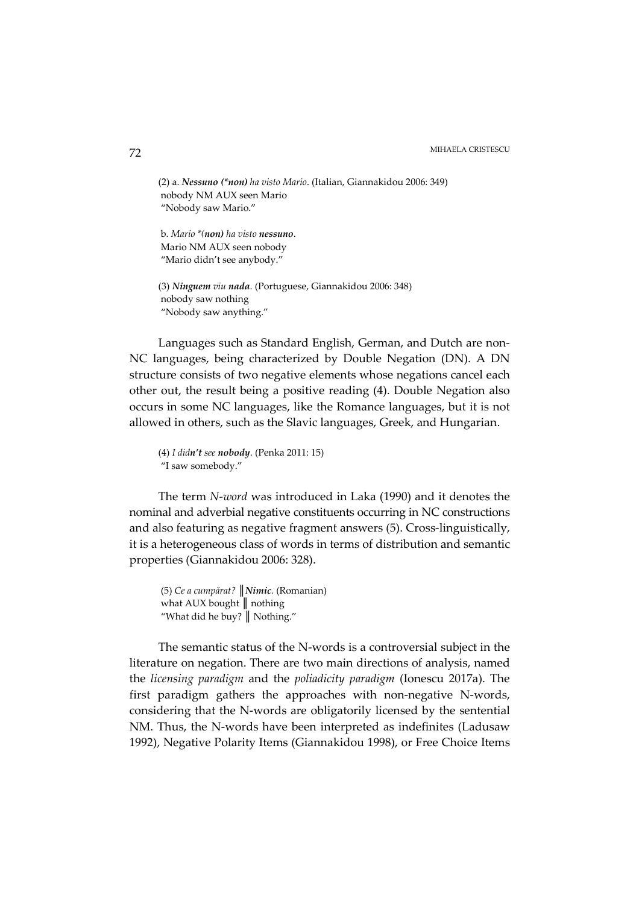(2) a. *Nessuno (\*non) ha visto Mario*. (Italian, Giannakidou 2006: 349) nobody NM AUX seen Mario "Nobody saw Mario."

 b. *Mario \*(non) ha visto nessuno*. Mario NM AUX seen nobody "Mario didn't see anybody."

(3) *Ninguem viu nada*. (Portuguese, Giannakidou 2006: 348) nobody saw nothing "Nobody saw anything."

Languages such as Standard English, German, and Dutch are non-NC languages, being characterized by Double Negation (DN). A DN structure consists of two negative elements whose negations cancel each other out, the result being a positive reading (4). Double Negation also occurs in some NC languages, like the Romance languages, but it is not allowed in others, such as the Slavic languages, Greek, and Hungarian.

(4) *I didn't see nobody*. (Penka 2011: 15) "I saw somebody."

The term *N-word* was introduced in Laka (1990) and it denotes the nominal and adverbial negative constituents occurring in NC constructions and also featuring as negative fragment answers (5). Cross-linguistically, it is a heterogeneous class of words in terms of distribution and semantic properties (Giannakidou 2006: 328).

 (5) *Ce a cumpărat? ║Nimic.* (Romanian) what AUX bought ∥ nothing "What did he buy? ║ Nothing."

The semantic status of the N-words is a controversial subject in the literature on negation. There are two main directions of analysis, named the *licensing paradigm* and the *poliadicity paradigm* (Ionescu 2017a). The first paradigm gathers the approaches with non-negative N-words, considering that the N-words are obligatorily licensed by the sentential NM. Thus, the N-words have been interpreted as indefinites (Ladusaw 1992), Negative Polarity Items (Giannakidou 1998), or Free Choice Items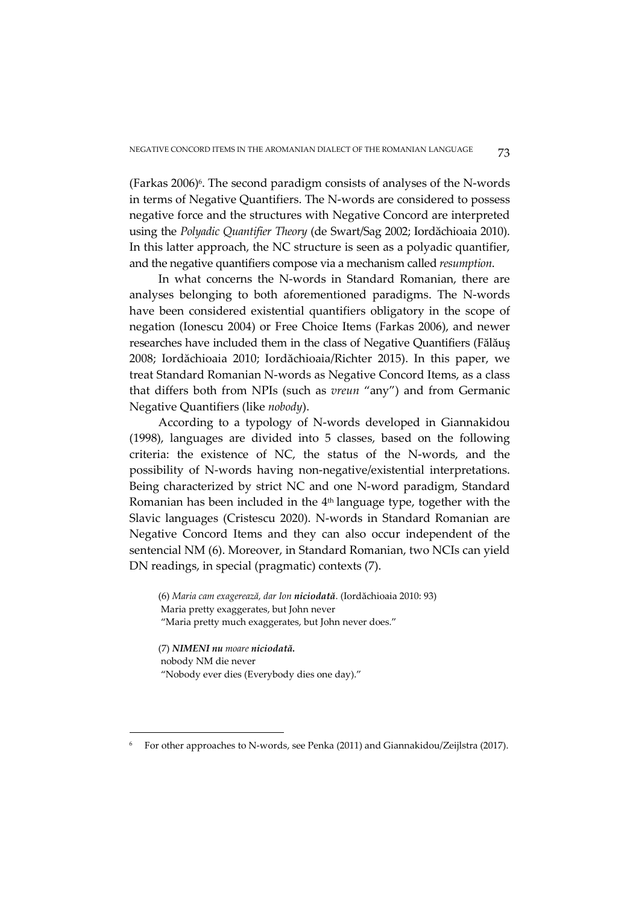(Farkas 2006)<sup>6</sup>. The second paradigm consists of analyses of the N-words in terms of Negative Quantifiers. The N-words are considered to possess negative force and the structures with Negative Concord are interpreted using the *Polyadic Quantifier Theory* (de Swart/Sag 2002; Iordăchioaia 2010). In this latter approach, the NC structure is seen as a polyadic quantifier, and the negative quantifiers compose via a mechanism called *resumption*.

In what concerns the N-words in Standard Romanian, there are analyses belonging to both aforementioned paradigms. The N-words have been considered existential quantifiers obligatory in the scope of negation (Ionescu 2004) or Free Choice Items (Farkas 2006), and newer researches have included them in the class of Negative Quantifiers (Fălăuş 2008; Iordăchioaia 2010; Iordăchioaia/Richter 2015). In this paper, we treat Standard Romanian N-words as Negative Concord Items, as a class that differs both from NPIs (such as *vreun* "any") and from Germanic Negative Quantifiers (like *nobody*).

According to a typology of N-words developed in Giannakidou (1998), languages are divided into 5 classes, based on the following criteria: the existence of NC, the status of the N-words, and the possibility of N-words having non-negative/existential interpretations. Being characterized by strict NC and one N-word paradigm, Standard Romanian has been included in the  $4<sup>th</sup>$  language type, together with the Slavic languages (Cristescu 2020). N-words in Standard Romanian are Negative Concord Items and they can also occur independent of the sentencial NM (6). Moreover, in Standard Romanian, two NCIs can yield DN readings, in special (pragmatic) contexts (7).

(6) *Maria cam exagerează, dar Ion niciodată*. (Iordăchioaia 2010: 93) Maria pretty exaggerates, but John never "Maria pretty much exaggerates, but John never does."

(7) *NIMENI nu moare niciodată.*  nobody NM die never "Nobody ever dies (Everybody dies one day)."

<sup>6</sup> For other approaches to N-words, see Penka (2011) and Giannakidou/Zeijlstra (2017).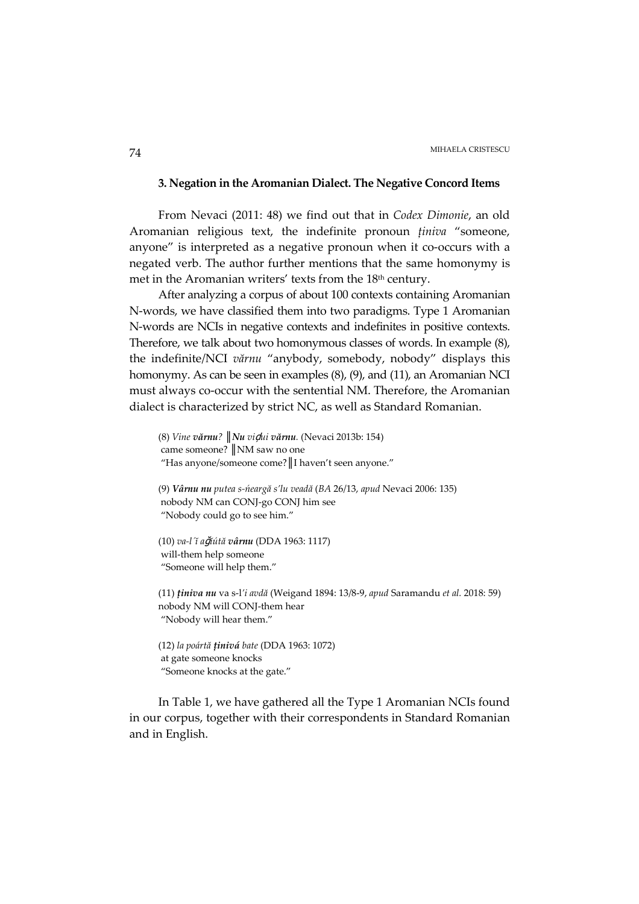# **3. Negation in the Aromanian Dialect. The Negative Concord Items**

From Nevaci (2011: 48) we find out that in *Codex Dimonie*, an old Aromanian religious text, the indefinite pronoun *ținiva* "someone, anyone" is interpreted as a negative pronoun when it co-occurs with a negated verb. The author further mentions that the same homonymy is met in the Aromanian writers' texts from the 18th century.

After analyzing a corpus of about 100 contexts containing Aromanian N-words, we have classified them into two paradigms. Type 1 Aromanian N-words are NCIs in negative contexts and indefinites in positive contexts. Therefore, we talk about two homonymous classes of words. In example (8), the indefinite/NCI *vărnu* "anybody, somebody, nobody" displays this homonymy. As can be seen in examples (8), (9), and (11), an Aromanian NCI must always co-occur with the sentential NM. Therefore, the Aromanian dialect is characterized by strict NC, as well as Standard Romanian.

```
(8) Vine vărnu? ║Nu viḑui vărnu. (Nevaci 2013b: 154) 
came someone? ║NM saw no one 
"Has anyone/someone come?║I haven't seen anyone."
```

```
(9) Vârnu nu putea s-ńeargă s'lu veadă (BA 26/13, apud Nevaci 2006: 135) 
nobody NM can CONJ-go CONJ him see 
"Nobody could go to see him."
```
(10) *va-l´ĭ a*ǧ*ĭútă vârnu* (DDA 1963: 1117) will-them help someone "Someone will help them."

(11) *ținiva nu* va s-l*'i avdă* (Weigand 1894: 13/8-9, *apud* Saramandu *et al.* 2018: 59) nobody NM will CONJ-them hear "Nobody will hear them."

(12) *la poártă ținivá bate* (DDA 1963: 1072) at gate someone knocks "Someone knocks at the gate."

In Table 1, we have gathered all the Type 1 Aromanian NCIs found in our corpus, together with their correspondents in Standard Romanian and in English.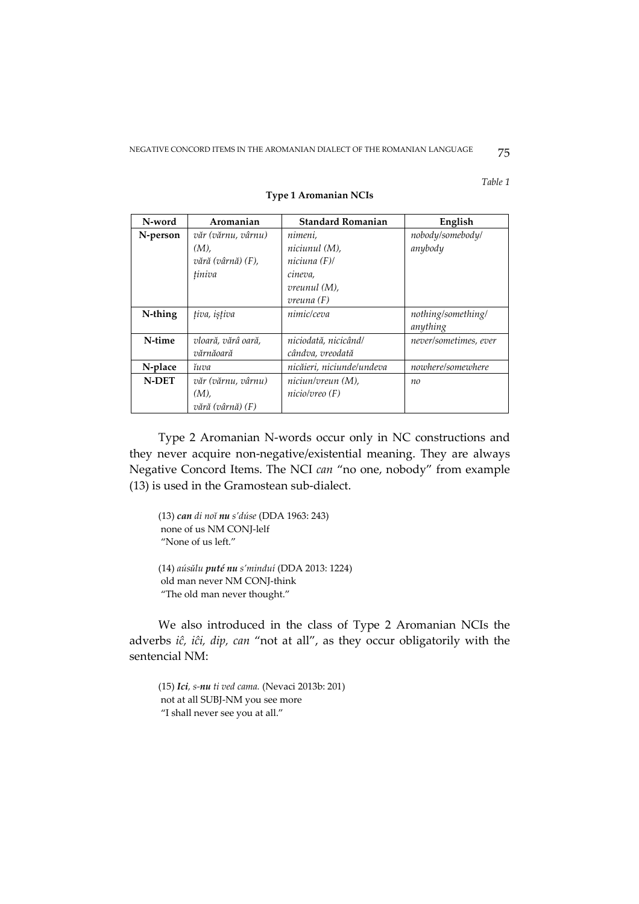*Table 1* 

| N-word   | Aromanian          | <b>Standard Romanian</b>  | English               |
|----------|--------------------|---------------------------|-----------------------|
| N-person | văr (vărnu, vârnu) | nimeni.                   | nobody/somebody/      |
|          | $(M)$ ,            | niciunul (M),             | anybody               |
|          | vără (vârnă) (F),  | niciuna (F)/              |                       |
|          | tiniva             | cineva,                   |                       |
|          |                    | <i>vreunul</i> (M),       |                       |
|          |                    | $v$ reuna $(F)$           |                       |
| N-thing  | tiva, istiva       | nimic/ceva                | nothing/something/    |
|          |                    |                           | anything              |
| N-time   | vloară, vărâ oară, | niciodată, nicicând/      | never/sometimes, ever |
|          | vărnăoară          | cândva, vreodată          |                       |
| N-place  | ĭuva               | nicăieri, niciunde/undeva | nowhere/somewhere     |
| N-DET    | văr (vărnu, vârnu) | niciun/vreun (M),         | no                    |
|          | $(M)$ ,            | nicio/vreo (F)            |                       |
|          | vără (vârnă) (F)   |                           |                       |

### **Type 1 Aromanian NCIs**

Type 2 Aromanian N-words occur only in NC constructions and they never acquire non-negative/existential meaning. They are always Negative Concord Items. The NCI *can* "no one, nobody" from example (13) is used in the Gramostean sub-dialect.

(13) *can di noĭ nu s'dúse* (DDA 1963: 243) none of us NM CONJ-lelf "None of us left."

(14) *aúsǔlu puté nu s'minduí* (DDA 2013: 1224) old man never NM CONJ-think "The old man never thought."

We also introduced in the class of Type 2 Aromanian NCIs the adverbs *iĉ, iĉi, dip, can* "not at all", as they occur obligatorily with the sentencial NM:

(15) *Ici, s-nu ti ved cama.* (Nevaci 2013b: 201) not at all SUBJ-NM you see more "I shall never see you at all."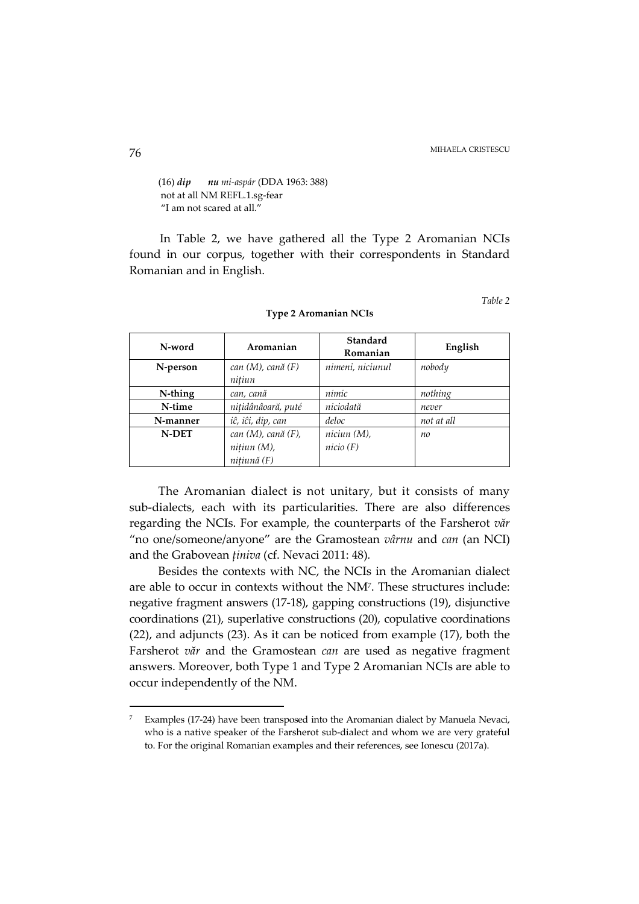(16) *dip nu mi-aspár* (DDA 1963: 388) not at all NM REFL.1.sg-fear "I am not scared at all."

In Table 2, we have gathered all the Type 2 Aromanian NCIs found in our corpus, together with their correspondents in Standard Romanian and in English.

*Table 2* 

| N-word       | Aromanian                                              | Standard<br>Romanian    | English    |
|--------------|--------------------------------------------------------|-------------------------|------------|
| N-person     | $can (M)$ , cană $(F)$<br>nitiun                       | nimeni, niciunul        | nobody     |
| N-thing      | can, cană                                              | nimic                   | nothing    |
| N-time       | nițidânâoară, puté                                     | niciodată               | never      |
| N-manner     | iĉ, iĉi, dip, can                                      | deloc                   | not at all |
| <b>N-DET</b> | $can (M)$ , cană $(F)$ ,<br>nițiun (M),<br>nitiună (F) | niciun (M),<br>nicio(F) | no         |

**Type 2 Aromanian NCIs** 

The Aromanian dialect is not unitary, but it consists of many sub-dialects, each with its particularities. There are also differences regarding the NCIs. For example, the counterparts of the Farsherot *văr*  "no one/someone/anyone" are the Gramostean *vârnu* and *can* (an NCI) and the Grabovean *ținiva* (cf. Nevaci 2011: 48)*.*

Besides the contexts with NC, the NCIs in the Aromanian dialect are able to occur in contexts without the NM<sup>7</sup> . These structures include: negative fragment answers (17-18), gapping constructions (19), disjunctive coordinations (21), superlative constructions (20), copulative coordinations (22), and adjuncts (23). As it can be noticed from example (17), both the Farsherot *văr* and the Gramostean *can* are used as negative fragment answers. Moreover, both Type 1 and Type 2 Aromanian NCIs are able to occur independently of the NM.

<sup>7</sup> Examples (17-24) have been transposed into the Aromanian dialect by Manuela Nevaci, who is a native speaker of the Farsherot sub-dialect and whom we are very grateful to. For the original Romanian examples and their references, see Ionescu (2017a).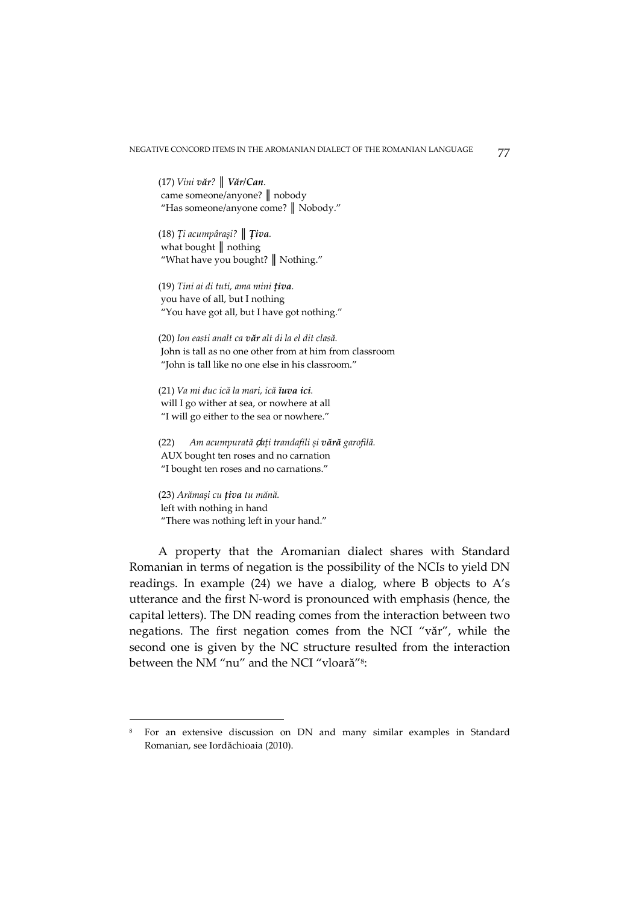(17) *Vini văr? ║ Văr/Can*. came someone/anyone? *║* nobody "Has someone/anyone come? *║* Nobody."

(18) *Ţi acumpârași? ║ Țiva.*  what bought *║* nothing "What have you bought? *║* Nothing."

(19) *Tini ai di tuti, ama mini țiva.*  you have of all, but I nothing "You have got all, but I have got nothing."

(20) *Ion easti analt ca văr alt di la el dit clasă.*  John is tall as no one other from at him from classroom "John is tall like no one else in his classroom."

(21) *Va mi duc ică la mari, ică ĭuva ici.*  will I go wither at sea, or nowhere at all "I will go either to the sea or nowhere."

(22) *Am acumpurată* ḑ*ați trandafili și vără garofilă.*  AUX bought ten roses and no carnation "I bought ten roses and no carnations."

(23) *Arămași cu țiva tu mănă.*  left with nothing in hand "There was nothing left in your hand."

 $\overline{a}$ 

A property that the Aromanian dialect shares with Standard Romanian in terms of negation is the possibility of the NCIs to yield DN readings. In example (24) we have a dialog, where B objects to A's utterance and the first N-word is pronounced with emphasis (hence, the capital letters). The DN reading comes from the interaction between two negations. The first negation comes from the NCI "văr", while the second one is given by the NC structure resulted from the interaction between the NM "nu" and the NCI "vloară"<sup>8</sup> :

<sup>8</sup> For an extensive discussion on DN and many similar examples in Standard Romanian, see Iordăchioaia (2010).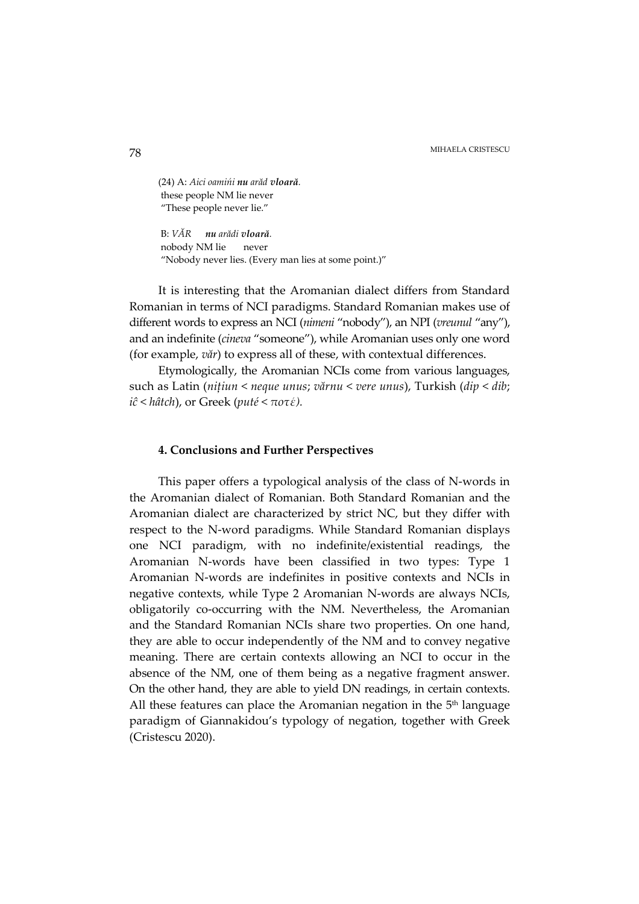MIHAELA CRISTESCU MIHAELA CRISTESCU

(24) A: *Aici oamińi nu arăd vloară.*  these people NM lie never "These people never lie."

 B: *VĂR nu arădi vloară.*  nobody NM lie never "Nobody never lies. (Every man lies at some point.)"

It is interesting that the Aromanian dialect differs from Standard Romanian in terms of NCI paradigms. Standard Romanian makes use of different words to express an NCI (*nimeni* "nobody"), an NPI (*vreunul* "any"), and an indefinite (*cineva* "someone"), while Aromanian uses only one word (for example, *văr*) to express all of these, with contextual differences.

Etymologically, the Aromanian NCIs come from various languages, such as Latin (*nițiun* < *neque unus*; *vărnu* < *vere unus*), Turkish (*dip* < *dib*; *iĉ* < *hâtch*), or Greek (*puté* < *ποτέ).* 

# **4. Conclusions and Further Perspectives**

This paper offers a typological analysis of the class of N-words in the Aromanian dialect of Romanian. Both Standard Romanian and the Aromanian dialect are characterized by strict NC, but they differ with respect to the N-word paradigms. While Standard Romanian displays one NCI paradigm, with no indefinite/existential readings, the Aromanian N-words have been classified in two types: Type 1 Aromanian N-words are indefinites in positive contexts and NCIs in negative contexts, while Type 2 Aromanian N-words are always NCIs, obligatorily co-occurring with the NM. Nevertheless, the Aromanian and the Standard Romanian NCIs share two properties. On one hand, they are able to occur independently of the NM and to convey negative meaning. There are certain contexts allowing an NCI to occur in the absence of the NM, one of them being as a negative fragment answer. On the other hand, they are able to yield DN readings, in certain contexts. All these features can place the Aromanian negation in the  $5<sup>th</sup>$  language paradigm of Giannakidou's typology of negation, together with Greek (Cristescu 2020).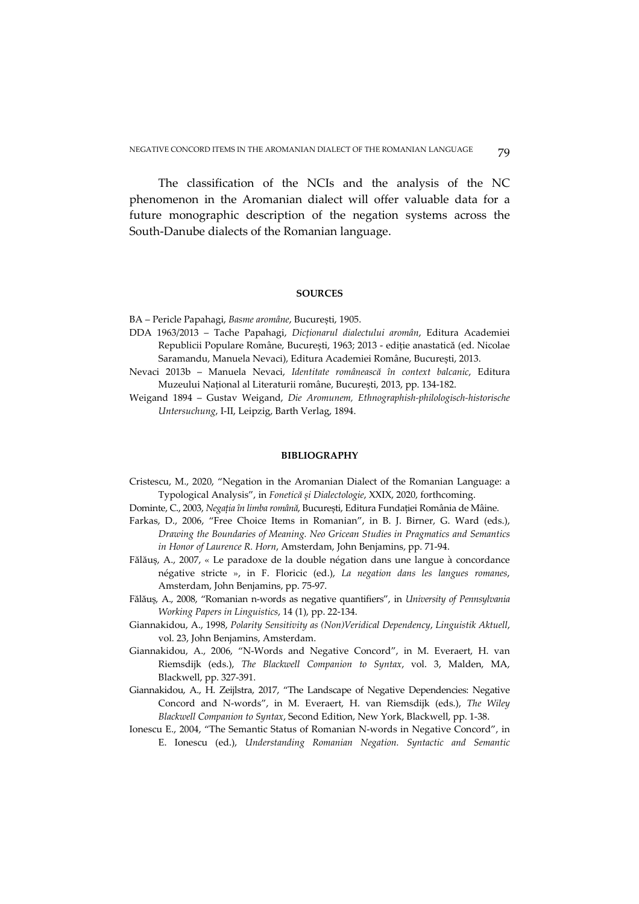The classification of the NCIs and the analysis of the NC phenomenon in the Aromanian dialect will offer valuable data for a future monographic description of the negation systems across the South-Danube dialects of the Romanian language.

#### **SOURCES**

BA – Pericle Papahagi, *Basme aromâne*, București, 1905.

- DDA 1963/2013 Tache Papahagi, *Dicționarul dialectului aromân*, Editura Academiei Republicii Populare Române, București, 1963; 2013 - ediție anastatică (ed. Nicolae Saramandu, Manuela Nevaci), Editura Academiei Române, București, 2013.
- Nevaci 2013b Manuela Nevaci, *Identitate românească în context balcanic*, Editura Muzeului Național al Literaturii române, București, 2013, pp. 134-182.
- Weigand 1894 Gustav Weigand, *Die Aromunem, Ethnographish-philologisch-historische Untersuchung*, I-II, Leipzig, Barth Verlag, 1894.

### **BIBLIOGRAPHY**

- Cristescu, M., 2020, "Negation in the Aromanian Dialect of the Romanian Language: a Typological Analysis", in *Fonetică și Dialectologie*, XXIX, 2020, forthcoming.
- Dominte, C., 2003, *Negația în limba română*, București, Editura Fundației România de Mâine.
- Farkas, D., 2006, "Free Choice Items in Romanian", in B. J. Birner, G. Ward (eds.), *Drawing the Boundaries of Meaning. Neo Gricean Studies in Pragmatics and Semantics in Honor of Laurence R. Horn*, Amsterdam, John Benjamins, pp. 71-94.
- Fălăuș, A., 2007, « Le paradoxe de la double négation dans une langue à concordance négative stricte », in F. Floricic (ed.), *La negation dans les langues romanes*, Amsterdam, John Benjamins, pp. 75-97.
- Fălăuș, A., 2008, "Romanian n-words as negative quantifiers", in *University of Pennsylvania Working Papers in Linguistics*, 14 (1), pp. 22-134.
- Giannakidou, A., 1998, *Polarity Sensitivity as (Non)Veridical Dependency*, *Linguistik Aktuell*, vol. 23, John Benjamins, Amsterdam.
- Giannakidou, A., 2006, "N-Words and Negative Concord", in M. Everaert, H. van Riemsdijk (eds.), *The Blackwell Companion to Syntax*, vol. 3, Malden, MA, Blackwell, pp. 327-391.
- Giannakidou, A., H. Zeijlstra, 2017, "The Landscape of Negative Dependencies: Negative Concord and N-words", in M. Everaert, H. van Riemsdijk (eds.), *The Wiley Blackwell Companion to Syntax*, Second Edition, New York, Blackwell, pp. 1-38.
- Ionescu E., 2004, "The Semantic Status of Romanian N-words in Negative Concord", in E. Ionescu (ed.), *Understanding Romanian Negation. Syntactic and Semantic*